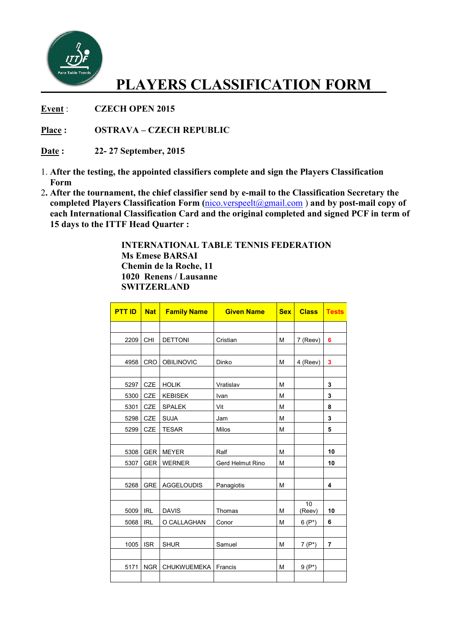

## **PLAYERS CLASSIFICATION FORM\_\_**

Event : **CZECH OPEN 2015** 

**Place : OSTRAVA – CZECH REPUBLIC**

**Date : 22- 27 September, 2015**

- 1. **After the testing, the appointed classifiers complete and sign the Players Classification Form**
- 2**. After the tournament, the chief classifier send by e e-mail to the Classification Secretary the** 2. After the tournament, the chief classifier send by e-mail to the Classification Secretary the completed Players Classification Form ( $\frac{nico.verspeelt(Qgmail.com)}{ncon}$ ) and by post-mail copy of  **each International Classification Card and the original completed and signed PCF in term of 15 days to the ITTF Head Quarter :**

 **INTERNATIONAL TABLE TENNIS FEDERATION Ms Emese BARSAI Chemin de la Roche, 11 1020 Renens / Lausanne SWITZERLAND**

| <b>PTT ID</b> | <b>Nat</b> | <b>Family Name</b> | <b>Given Name</b> | <b>Sex</b> | <b>Class</b>              | <b>Tests</b> |
|---------------|------------|--------------------|-------------------|------------|---------------------------|--------------|
|               |            |                    |                   |            |                           |              |
| 2209          | <b>CHI</b> | <b>DETTONI</b>     | Cristian          | M          | 7 (Reev)                  | 6            |
|               |            |                    |                   |            |                           |              |
| 4958          | CRO        | <b>OBILINOVIC</b>  | Dinko             | M          | 4 (Reev)                  | 3            |
|               |            |                    |                   |            |                           |              |
| 5297          | <b>CZE</b> | <b>HOLIK</b>       | Vratislav         | M          |                           | 3            |
| 5300          | CZE        | <b>KEBISEK</b>     | Ivan              | M          |                           | 3            |
| 5301          | CZE        | <b>SPALEK</b>      | Vit               | M          |                           | 8            |
| 5298          | CZE        | <b>SUJA</b>        | Jam               | M          |                           | 3            |
| 5299          | CZE        | <b>TESAR</b>       | Milos             | M          |                           | 5            |
|               |            |                    |                   |            |                           |              |
| 5308          | <b>GER</b> | <b>MEYER</b>       | Ralf              | M          |                           | 10           |
| 5307          | <b>GER</b> | <b>WERNER</b>      | Gerd Helmut Rino  | M          |                           | 10           |
|               |            |                    |                   |            |                           |              |
| 5268          | <b>GRE</b> | <b>AGGELOUDIS</b>  | Panagiotis        | M          |                           | 4            |
|               |            |                    |                   |            |                           |              |
| 5009          | <b>IRL</b> | <b>DAVIS</b>       | Thomas            | M          | $\overline{10}$<br>(Reev) | 10           |
| 5068          | <b>IRL</b> | O CALLAGHAN        | Conor             | M          | $6(P^*)$                  | 6            |
|               |            |                    |                   |            |                           |              |
| 1005          | <b>ISR</b> | <b>SHUR</b>        | Samuel            | M          | $7(P^*)$                  | 7            |
|               |            |                    |                   |            |                           |              |
| 5171          | <b>NGR</b> | CHUKWUEMEKA        | Francis           | М          | $9(P^*)$                  |              |
|               |            |                    |                   |            |                           |              |